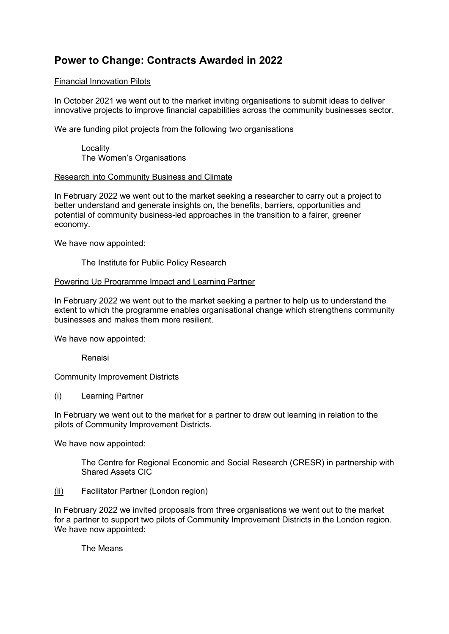# **Power to Change: Contracts Awarded in 2022**

# Financial Innovation Pilots

In October 2021 we went out to the market inviting organisations to submit ideas to deliver innovative projects to improve financial capabilities across the community businesses sector.

We are funding pilot projects from the following two organisations

Locality The Women's Organisations

## Research into Community Business and Climate

In February 2022 we went out to the market seeking a researcher to carry out a project to better understand and generate insights on, the benefits, barriers, opportunities and potential of community business-led approaches in the transition to a fairer, greener economy.

We have now appointed:

The Institute for Public Policy Research

## Powering Up Programme Impact and Learning Partner

In February 2022 we went out to the market seeking a partner to help us to understand the extent to which the programme enables organisational change which strengthens community businesses and makes them more resilient.

We have now appointed:

Renaisi

#### Community Improvement Districts

(i) Learning Partner

In February we went out to the market for a partner to draw out learning in relation to the pilots of Community Improvement Districts.

We have now appointed:

The Centre for Regional Economic and Social Research (CRESR) in partnership with Shared Assets CIC

(ii) Facilitator Partner (London region)

In February 2022 we invited proposals from three organisations we went out to the market for a partner to support two pilots of Community Improvement Districts in the London region. We have now appointed:

The Means